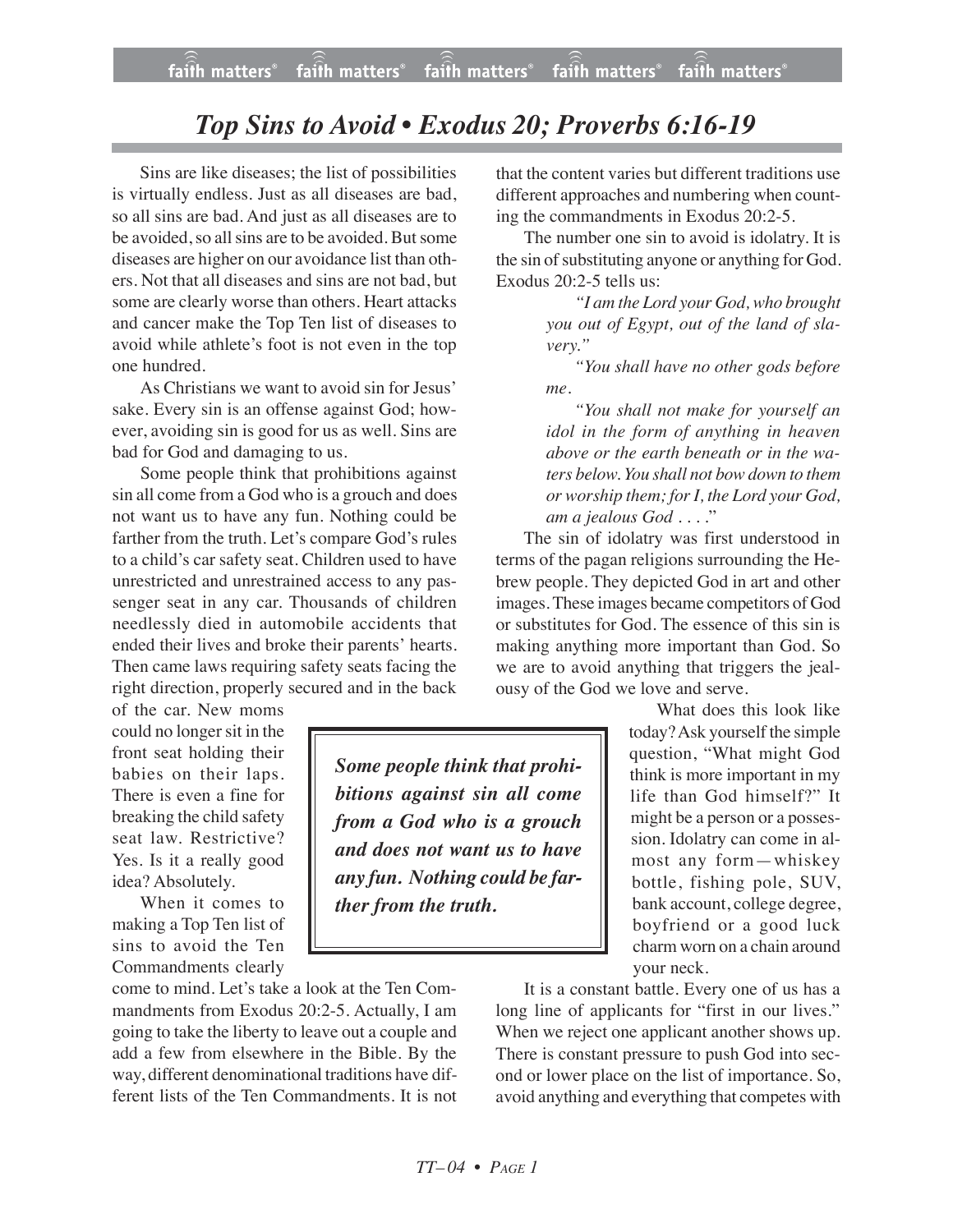## *Top Sins to Avoid • Exodus 20; Proverbs 6:16-19*

Sins are like diseases; the list of possibilities is virtually endless. Just as all diseases are bad, so all sins are bad. And just as all diseases are to be avoided, so all sins are to be avoided. But some diseases are higher on our avoidance list than others. Not that all diseases and sins are not bad, but some are clearly worse than others. Heart attacks and cancer make the Top Ten list of diseases to avoid while athlete's foot is not even in the top one hundred.

As Christians we want to avoid sin for Jesus' sake. Every sin is an offense against God; however, avoiding sin is good for us as well. Sins are bad for God and damaging to us.

Some people think that prohibitions against sin all come from a God who is a grouch and does not want us to have any fun. Nothing could be farther from the truth. Let's compare God's rules to a child's car safety seat. Children used to have unrestricted and unrestrained access to any passenger seat in any car. Thousands of children needlessly died in automobile accidents that ended their lives and broke their parents' hearts. Then came laws requiring safety seats facing the right direction, properly secured and in the back

of the car. New moms could no longer sit in the front seat holding their babies on their laps. There is even a fine for breaking the child safety seat law. Restrictive? Yes. Is it a really good idea? Absolutely.

When it comes to making a Top Ten list of sins to avoid the Ten Commandments clearly

come to mind. Let's take a look at the Ten Commandments from Exodus 20:2-5. Actually, I am going to take the liberty to leave out a couple and add a few from elsewhere in the Bible. By the way, different denominational traditions have different lists of the Ten Commandments. It is not that the content varies but different traditions use different approaches and numbering when counting the commandments in Exodus 20:2-5.

The number one sin to avoid is idolatry. It is the sin of substituting anyone or anything for God. Exodus 20:2-5 tells us:

> *"I am the Lord your God, who brought you out of Egypt, out of the land of slavery."*

> *"You shall have no other gods before me.*

> *"You shall not make for yourself an idol in the form of anything in heaven above or the earth beneath or in the waters below. You shall not bow down to them or worship them; forI, the Lord your God, am a jealous God . . . .*"

The sin of idolatry was first understood in terms of the pagan religions surrounding the Hebrew people. They depicted God in art and other images.These images became competitors of God or substitutes for God. The essence of this sin is making anything more important than God. So we are to avoid anything that triggers the jealousy of the God we love and serve.

> What does this look like today? Ask yourself the simple question, "What might God think is more important in my life than God himself?" It might be a person or a possession. Idolatry can come in almost any form—whiskey bottle, fishing pole, SUV, bank account, college degree, boyfriend or a good luck charm worn on a chain around your neck.

It is a constant battle. Every one of us has a long line of applicants for "first in our lives." When we reject one applicant another shows up. There is constant pressure to push God into second or lower place on the list of importance. So, avoid anything and everything that competes with

*Some people think that prohibitions against sin all come from a God who is a grouch and does not want us to have any fun. Nothing could be farther from the truth.*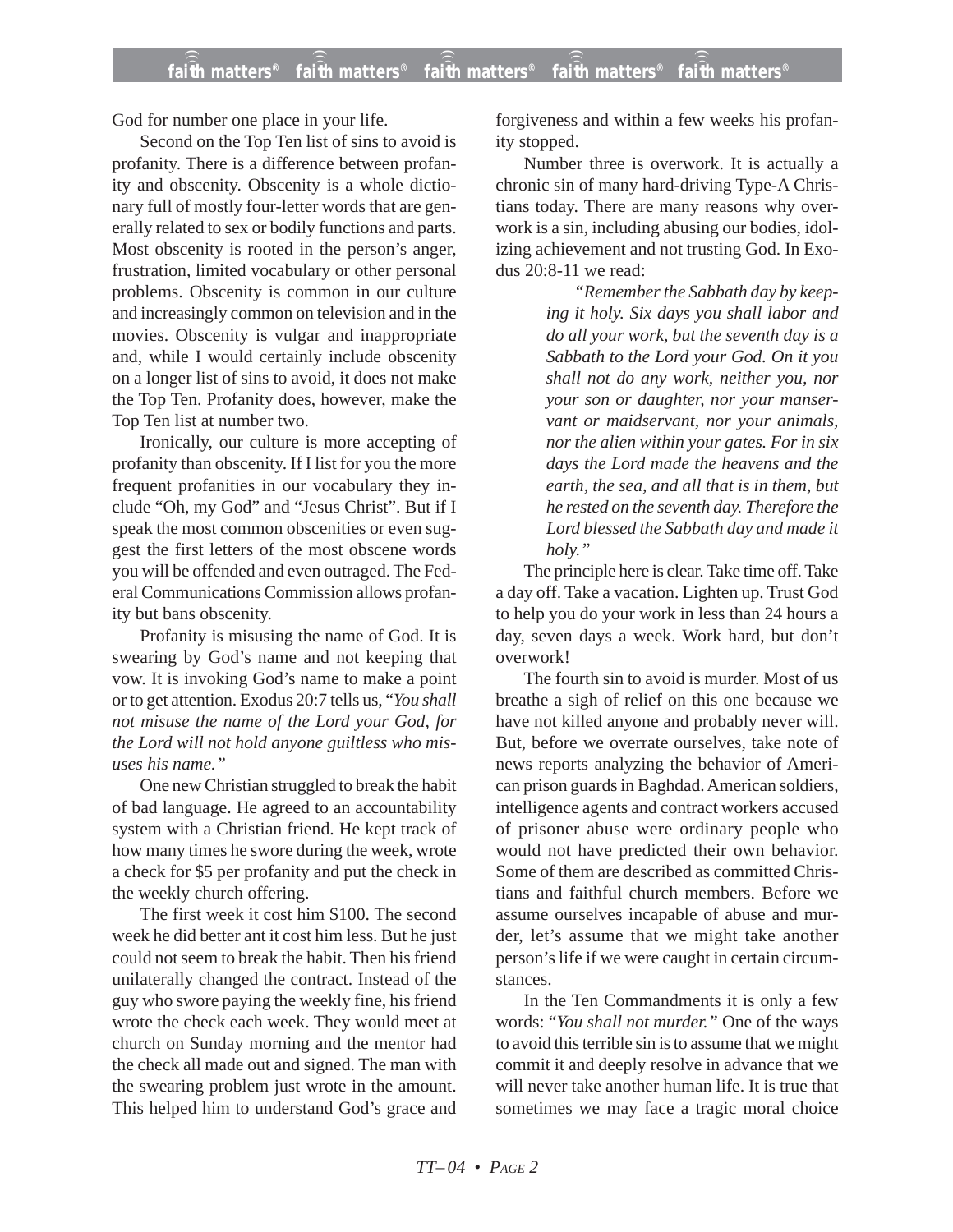God for number one place in your life.

Second on the Top Ten list of sins to avoid is profanity. There is a difference between profanity and obscenity. Obscenity is a whole dictionary full of mostly four-letter words that are generally related to sex or bodily functions and parts. Most obscenity is rooted in the person's anger, frustration, limited vocabulary or other personal problems. Obscenity is common in our culture and increasingly common on television and in the movies. Obscenity is vulgar and inappropriate and, while I would certainly include obscenity on a longer list of sins to avoid, it does not make the Top Ten. Profanity does, however, make the Top Ten list at number two.

Ironically, our culture is more accepting of profanity than obscenity. If I list for you the more frequent profanities in our vocabulary they include "Oh, my God" and "Jesus Christ". But if I speak the most common obscenities or even suggest the first letters of the most obscene words you will be offended and even outraged. The Federal Communications Commission allows profanity but bans obscenity.

Profanity is misusing the name of God. It is swearing by God's name and not keeping that vow. It is invoking God's name to make a point or to get attention. Exodus 20:7 tells us, "*You shall not misuse the name of the Lord your God, for the Lord will not hold anyone guiltless who misuses his name."*

One new Christian struggled to break the habit of bad language. He agreed to an accountability system with a Christian friend. He kept track of how many times he swore during the week, wrote a check for \$5 per profanity and put the check in the weekly church offering.

The first week it cost him \$100. The second week he did better ant it cost him less. But he just could not seem to break the habit. Then his friend unilaterally changed the contract. Instead of the guy who swore paying the weekly fine, his friend wrote the check each week. They would meet at church on Sunday morning and the mentor had the check all made out and signed. The man with the swearing problem just wrote in the amount. This helped him to understand God's grace and forgiveness and within a few weeks his profanity stopped.

Number three is overwork. It is actually a chronic sin of many hard-driving Type-A Christians today. There are many reasons why overwork is a sin, including abusing our bodies, idolizing achievement and not trusting God. In Exodus 20:8-11 we read:

> *"Remember the Sabbath day by keeping it holy. Six days you shall labor and do all your work, but the seventh day is a Sabbath to the Lord your God. On it you shall not do any work, neither you, nor your son or daughter, nor your manservant or maidservant, nor your animals, nor the alien within your gates. For in six days the Lord made the heavens and the earth, the sea, and all that is in them, but he rested on the seventh day. Therefore the Lord blessed the Sabbath day and made it holy."*

The principle here is clear. Take time off. Take a day off. Take a vacation. Lighten up. Trust God to help you do your work in less than 24 hours a day, seven days a week. Work hard, but don't overwork!

The fourth sin to avoid is murder. Most of us breathe a sigh of relief on this one because we have not killed anyone and probably never will. But, before we overrate ourselves, take note of news reports analyzing the behavior of American prison guards in Baghdad. American soldiers, intelligence agents and contract workers accused of prisoner abuse were ordinary people who would not have predicted their own behavior. Some of them are described as committed Christians and faithful church members. Before we assume ourselves incapable of abuse and murder, let's assume that we might take another person's life if we were caught in certain circumstances.

In the Ten Commandments it is only a few words: "*You shall not murder."* One of the ways to avoid this terrible sin is to assume that we might commit it and deeply resolve in advance that we will never take another human life. It is true that sometimes we may face a tragic moral choice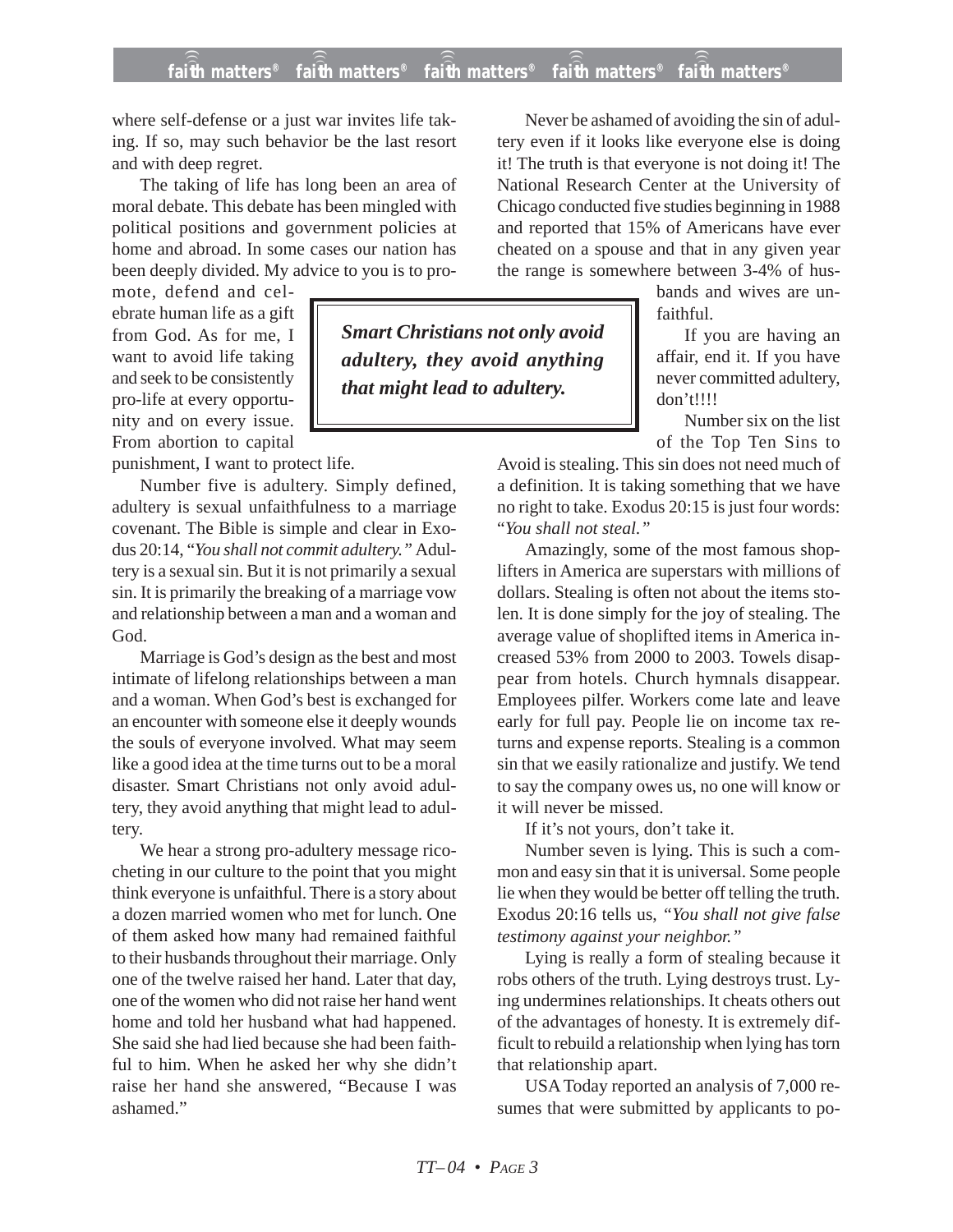## **faith matters® faith matters® faith matters® faith matters® faith matters®** ))) ))) ))) ))) )))

where self-defense or a just war invites life taking. If so, may such behavior be the last resort and with deep regret.

The taking of life has long been an area of moral debate. This debate has been mingled with political positions and government policies at home and abroad. In some cases our nation has been deeply divided. My advice to you is to pro-

mote, defend and celebrate human life as a gift from God. As for me, I want to avoid life taking and seek to be consistently pro-life at every opportunity and on every issue. From abortion to capital

punishment, I want to protect life.

Number five is adultery. Simply defined, adultery is sexual unfaithfulness to a marriage covenant. The Bible is simple and clear in Exodus 20:14, "*You shall not commit adultery."* Adultery is a sexual sin. But it is not primarily a sexual sin. It is primarily the breaking of a marriage vow and relationship between a man and a woman and God.

Marriage is God's design as the best and most intimate of lifelong relationships between a man and a woman. When God's best is exchanged for an encounter with someone else it deeply wounds the souls of everyone involved. What may seem like a good idea at the time turns out to be a moral disaster. Smart Christians not only avoid adultery, they avoid anything that might lead to adultery.

We hear a strong pro-adultery message ricocheting in our culture to the point that you might think everyone is unfaithful. There is a story about a dozen married women who met for lunch. One of them asked how many had remained faithful to their husbands throughout their marriage. Only one of the twelve raised her hand. Later that day, one of the women who did not raise her hand went home and told her husband what had happened. She said she had lied because she had been faithful to him. When he asked her why she didn't raise her hand she answered, "Because I was ashamed."

*Smart Christians not only avoid adultery, they avoid anything that might lead to adultery.*

Never be ashamed of avoiding the sin of adultery even if it looks like everyone else is doing it! The truth is that everyone is not doing it! The National Research Center at the University of Chicago conducted five studies beginning in 1988 and reported that 15% of Americans have ever cheated on a spouse and that in any given year the range is somewhere between 3-4% of hus-

> bands and wives are unfaithful.

If you are having an affair, end it. If you have never committed adultery, don't!!!!

Number six on the list of the Top Ten Sins to

Avoid is stealing. This sin does not need much of a definition. It is taking something that we have no right to take. Exodus 20:15 is just four words: "*You shall not steal."*

Amazingly, some of the most famous shoplifters in America are superstars with millions of dollars. Stealing is often not about the items stolen. It is done simply for the joy of stealing. The average value of shoplifted items in America increased 53% from 2000 to 2003. Towels disappear from hotels. Church hymnals disappear. Employees pilfer. Workers come late and leave early for full pay. People lie on income tax returns and expense reports. Stealing is a common sin that we easily rationalize and justify. We tend to say the company owes us, no one will know or it will never be missed.

If it's not yours, don't take it.

Number seven is lying. This is such a common and easy sin that it is universal. Some people lie when they would be better off telling the truth. Exodus 20:16 tells us, *"You shall not give false testimony against your neighbor."*

Lying is really a form of stealing because it robs others of the truth. Lying destroys trust. Lying undermines relationships. It cheats others out of the advantages of honesty. It is extremely difficult to rebuild a relationship when lying has torn that relationship apart.

USA Today reported an analysis of 7,000 resumes that were submitted by applicants to po-